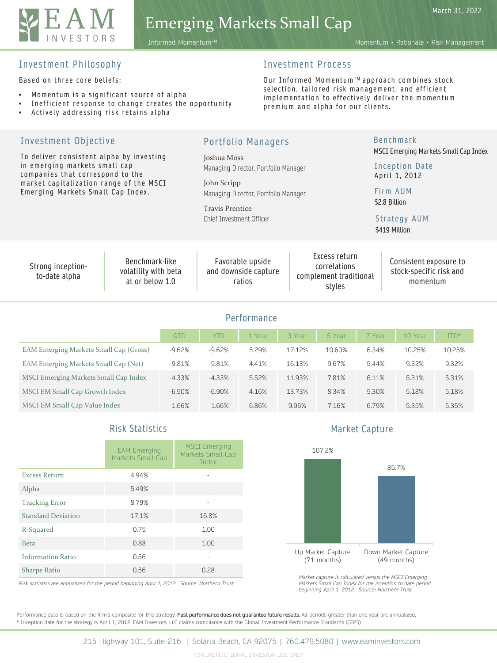

# Emerging Markets Small Cap

March 31, 2022

#### Investment Philosophy

Based on three core beliefs:

Investment Objective

- Momentum is a significant source of alpha
- Inefficient response to change creates the opportunity
- Actively addressing risk retains alpha

## Investment Process

Our Informed Momentum™ approach combines stock selection, tailored risk management, and efficient implementation to effectively deliver the momentum premium and alpha for our clients.

Benchmark

Portfolio Managers Joshua Moss Managing Director, Portfolio Manager John Scripp Managing Director, Portfolio Manager Travis Prentice Chief Investment Officer Performance QTD | YTD | 1 Year | 3 Year | 5 Year | 7 Year | 10 Year | ITD\* EAM Emerging Markets Small Cap (Gross) -9.62% -9.62% 5.29% 17.12% 10.60% 6.34% 10.25% 10.25% EAM Emerging Markets Small Cap (Net) -9.81% -9.81% 4.41% 16.13% 9.67% 5.44% 9.32% 9.32% MSCI Emerging Markets Small Cap Index -4.33% -4.33% 5.52% 11.93% 7.81% 6.11% 5.31% 5.31% MSCI EM Small Cap Growth Index -6.90% -6.90% -6.90% 4.16% 13.73% 8.34% 5.30% 5.18% 5.18% MSCI EM Small Cap Value Index -1.66% -1.66% 6.86% 9.96% 7.16% 6.79% 5.35% 5.35% To deliver consistent alpha by investing in emerging markets small cap companies that correspond to the market capitalization range of the MSCI Emerging Markets Small Cap Index. Inception Date April 1, 2012 MSCI Emerging Markets Small Cap Index Firm AUM \$2.8 Billion Strong inceptionto-date alpha Benchmark-like volatility with beta at or below 1.0 Favorable upside and downside capture ratios Excess return correlations complement traditional styles Consistent exposure to stock-specific risk and momentum Strategy AUM \$419 Million

# Risk Statistics

|                           | <b>EAM Emerging</b><br>Markets Small Cap | <b>MSCI Emerging</b><br>Markets Small Cap<br>Index |
|---------------------------|------------------------------------------|----------------------------------------------------|
| <b>Excess Return</b>      | 4.94%                                    |                                                    |
| Alpha                     | 5.49%                                    |                                                    |
| <b>Tracking Error</b>     | 8.79%                                    |                                                    |
| <b>Standard Deviation</b> | 17.1%                                    | 16.8%                                              |
| R-Squared                 | 0.75                                     | 1.00                                               |
| <b>Beta</b>               | 0.88                                     | 1.00                                               |
| <b>Information Ratio</b>  | 0.56                                     |                                                    |
| <b>Sharpe Ratio</b>       | 0.56                                     | 0.28                                               |

*Risk statistics are annualized for the period beginning April 1, 2012. Source: Northern Trust*

Market Capture



*Market capture is calculated versus the MSCI Emerging Markets Small Cap Index for the inception to date period beginning April 1, 2012. Source: Northern Trust*

Performance data is based on the firm's composite for this strategy. Past performance does not guarantee future results. All periods greater than one year are annualized. \* Inception date for the strategy is April 1, 2012. EAM Investors, LLC claims compliance with the Global Investment Performance Standards (GIPS)